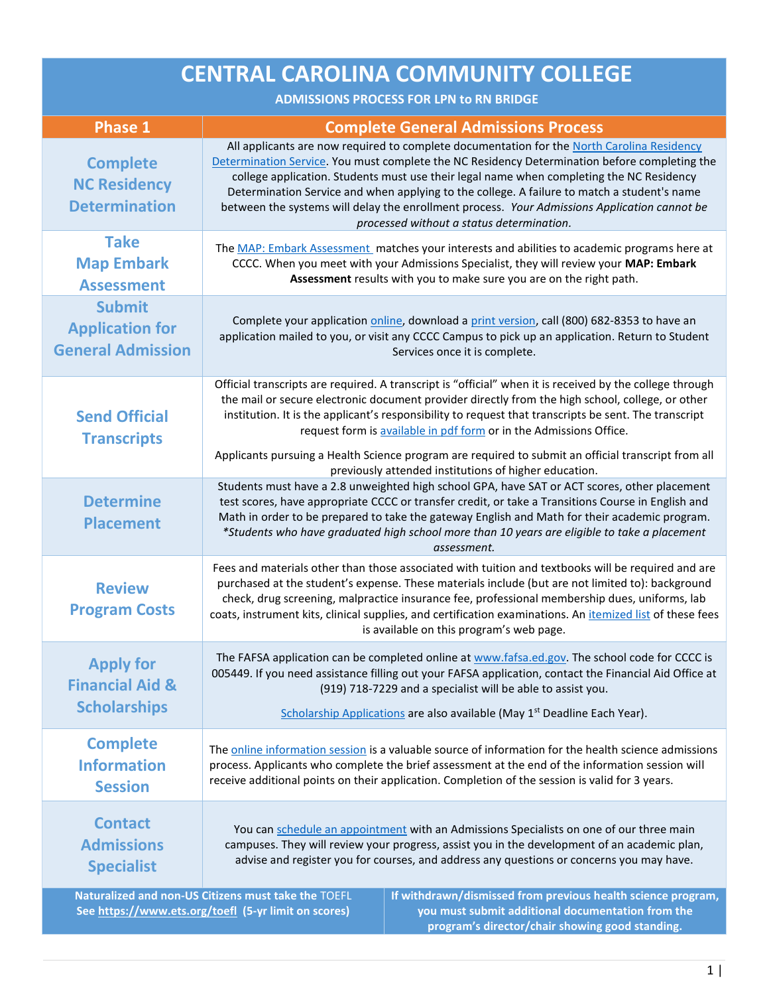| <b>CENTRAL CAROLINA COMMUNITY COLLEGE</b><br><b>ADMISSIONS PROCESS FOR LPN to RN BRIDGE</b>                                                                                                                                                                                         |                                                                                                                                                                                                                                                                                                                                                                                                                                                                                                                                     |  |
|-------------------------------------------------------------------------------------------------------------------------------------------------------------------------------------------------------------------------------------------------------------------------------------|-------------------------------------------------------------------------------------------------------------------------------------------------------------------------------------------------------------------------------------------------------------------------------------------------------------------------------------------------------------------------------------------------------------------------------------------------------------------------------------------------------------------------------------|--|
| <b>Phase 1</b>                                                                                                                                                                                                                                                                      | <b>Complete General Admissions Process</b>                                                                                                                                                                                                                                                                                                                                                                                                                                                                                          |  |
| <b>Complete</b><br><b>NC Residency</b><br><b>Determination</b>                                                                                                                                                                                                                      | All applicants are now required to complete documentation for the North Carolina Residency<br>Determination Service. You must complete the NC Residency Determination before completing the<br>college application. Students must use their legal name when completing the NC Residency<br>Determination Service and when applying to the college. A failure to match a student's name<br>between the systems will delay the enrollment process. Your Admissions Application cannot be<br>processed without a status determination. |  |
| <b>Take</b><br><b>Map Embark</b><br><b>Assessment</b>                                                                                                                                                                                                                               | The MAP: Embark Assessment matches your interests and abilities to academic programs here at<br>CCCC. When you meet with your Admissions Specialist, they will review your MAP: Embark<br>Assessment results with you to make sure you are on the right path.                                                                                                                                                                                                                                                                       |  |
| <b>Submit</b><br><b>Application for</b><br><b>General Admission</b>                                                                                                                                                                                                                 | Complete your application online, download a print version, call (800) 682-8353 to have an<br>application mailed to you, or visit any CCCC Campus to pick up an application. Return to Student<br>Services once it is complete.                                                                                                                                                                                                                                                                                                     |  |
| <b>Send Official</b><br><b>Transcripts</b>                                                                                                                                                                                                                                          | Official transcripts are required. A transcript is "official" when it is received by the college through<br>the mail or secure electronic document provider directly from the high school, college, or other<br>institution. It is the applicant's responsibility to request that transcripts be sent. The transcript<br>request form is available in pdf form or in the Admissions Office.<br>Applicants pursuing a Health Science program are required to submit an official transcript from all                                  |  |
| <b>Determine</b><br><b>Placement</b>                                                                                                                                                                                                                                                | previously attended institutions of higher education.<br>Students must have a 2.8 unweighted high school GPA, have SAT or ACT scores, other placement<br>test scores, have appropriate CCCC or transfer credit, or take a Transitions Course in English and<br>Math in order to be prepared to take the gateway English and Math for their academic program.<br>*Students who have graduated high school more than 10 years are eligible to take a placement<br>assessment.                                                         |  |
| <b>Review</b><br><b>Program Costs</b>                                                                                                                                                                                                                                               | Fees and materials other than those associated with tuition and textbooks will be required and are<br>purchased at the student's expense. These materials include (but are not limited to): background<br>check, drug screening, malpractice insurance fee, professional membership dues, uniforms, lab<br>coats, instrument kits, clinical supplies, and certification examinations. An itemized list of these fees<br>is available on this program's web page.                                                                    |  |
| <b>Apply for</b><br><b>Financial Aid &amp;</b><br><b>Scholarships</b>                                                                                                                                                                                                               | The FAFSA application can be completed online at www.fafsa.ed.gov. The school code for CCCC is<br>005449. If you need assistance filling out your FAFSA application, contact the Financial Aid Office at<br>(919) 718-7229 and a specialist will be able to assist you.<br>Scholarship Applications are also available (May 1 <sup>st</sup> Deadline Each Year).                                                                                                                                                                    |  |
| <b>Complete</b><br><b>Information</b><br><b>Session</b>                                                                                                                                                                                                                             | The online information session is a valuable source of information for the health science admissions<br>process. Applicants who complete the brief assessment at the end of the information session will<br>receive additional points on their application. Completion of the session is valid for 3 years.                                                                                                                                                                                                                         |  |
| <b>Contact</b><br><b>Admissions</b><br><b>Specialist</b>                                                                                                                                                                                                                            | You can schedule an appointment with an Admissions Specialists on one of our three main<br>campuses. They will review your progress, assist you in the development of an academic plan,<br>advise and register you for courses, and address any questions or concerns you may have.                                                                                                                                                                                                                                                 |  |
| Naturalized and non-US Citizens must take the TOEFL<br>If withdrawn/dismissed from previous health science program,<br>See https://www.ets.org/toefl (5-yr limit on scores)<br>you must submit additional documentation from the<br>program's director/chair showing good standing. |                                                                                                                                                                                                                                                                                                                                                                                                                                                                                                                                     |  |